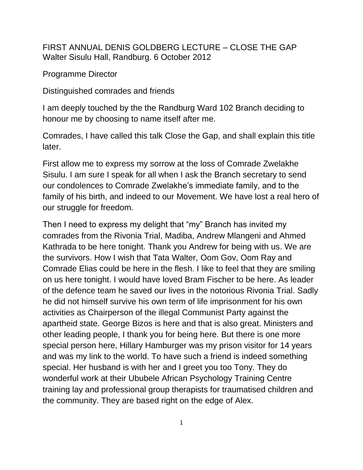FIRST ANNUAL DENIS GOLDBERG LECTURE – CLOSE THE GAP Walter Sisulu Hall, Randburg. 6 October 2012

Programme Director

Distinguished comrades and friends

I am deeply touched by the the Randburg Ward 102 Branch deciding to honour me by choosing to name itself after me.

Comrades, I have called this talk Close the Gap, and shall explain this title later.

First allow me to express my sorrow at the loss of Comrade Zwelakhe Sisulu. I am sure I speak for all when I ask the Branch secretary to send our condolences to Comrade Zwelakhe's immediate family, and to the family of his birth, and indeed to our Movement. We have lost a real hero of our struggle for freedom.

Then I need to express my delight that "my" Branch has invited my comrades from the Rivonia Trial, Madiba, Andrew Mlangeni and Ahmed Kathrada to be here tonight. Thank you Andrew for being with us. We are the survivors. How I wish that Tata Walter, Oom Gov, Oom Ray and Comrade Elias could be here in the flesh. I like to feel that they are smiling on us here tonight. I would have loved Bram Fischer to be here. As leader of the defence team he saved our lives in the notorious Rivonia Trial. Sadly he did not himself survive his own term of life imprisonment for his own activities as Chairperson of the illegal Communist Party against the apartheid state. George Bizos is here and that is also great. Ministers and other leading people, I thank you for being here. But there is one more special person here, Hillary Hamburger was my prison visitor for 14 years and was my link to the world. To have such a friend is indeed something special. Her husband is with her and I greet you too Tony. They do wonderful work at their Ububele African Psychology Training Centre training lay and professional group therapists for traumatised children and the community. They are based right on the edge of Alex.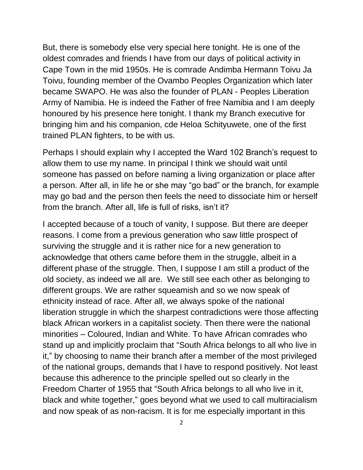But, there is somebody else very special here tonight. He is one of the oldest comrades and friends I have from our days of political activity in Cape Town in the mid 1950s. He is comrade Andimba Hermann Toivu Ja Toivu, founding member of the Ovambo Peoples Organization which later became SWAPO. He was also the founder of PLAN - Peoples Liberation Army of Namibia. He is indeed the Father of free Namibia and I am deeply honoured by his presence here tonight. I thank my Branch executive for bringing him and his companion, cde Heloa Schityuwete, one of the first trained PLAN fighters, to be with us.

Perhaps I should explain why I accepted the Ward 102 Branch's request to allow them to use my name. In principal I think we should wait until someone has passed on before naming a living organization or place after a person. After all, in life he or she may "go bad" or the branch, for example may go bad and the person then feels the need to dissociate him or herself from the branch. After all, life is full of risks, isn't it?

I accepted because of a touch of vanity, I suppose. But there are deeper reasons. I come from a previous generation who saw little prospect of surviving the struggle and it is rather nice for a new generation to acknowledge that others came before them in the struggle, albeit in a different phase of the struggle. Then, I suppose I am still a product of the old society, as indeed we all are. We still see each other as belonging to different groups. We are rather squeamish and so we now speak of ethnicity instead of race. After all, we always spoke of the national liberation struggle in which the sharpest contradictions were those affecting black African workers in a capitalist society. Then there were the national minorities – Coloured, Indian and White. To have African comrades who stand up and implicitly proclaim that "South Africa belongs to all who live in it," by choosing to name their branch after a member of the most privileged of the national groups, demands that I have to respond positively. Not least because this adherence to the principle spelled out so clearly in the Freedom Charter of 1955 that "South Africa belongs to all who live in it, black and white together," goes beyond what we used to call multiracialism and now speak of as non-racism. It is for me especially important in this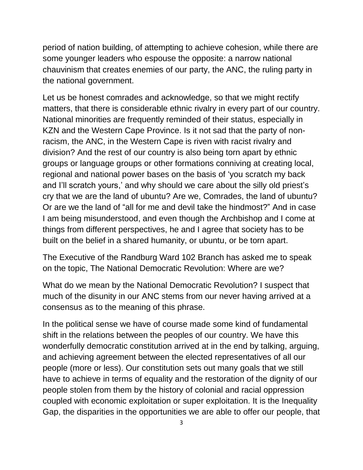period of nation building, of attempting to achieve cohesion, while there are some younger leaders who espouse the opposite: a narrow national chauvinism that creates enemies of our party, the ANC, the ruling party in the national government.

Let us be honest comrades and acknowledge, so that we might rectify matters, that there is considerable ethnic rivalry in every part of our country. National minorities are frequently reminded of their status, especially in KZN and the Western Cape Province. Is it not sad that the party of nonracism, the ANC, in the Western Cape is riven with racist rivalry and division? And the rest of our country is also being torn apart by ethnic groups or language groups or other formations conniving at creating local, regional and national power bases on the basis of 'you scratch my back and I'll scratch yours,' and why should we care about the silly old priest's cry that we are the land of ubuntu? Are we, Comrades, the land of ubuntu? Or are we the land of "all for me and devil take the hindmost?" And in case I am being misunderstood, and even though the Archbishop and I come at things from different perspectives, he and I agree that society has to be built on the belief in a shared humanity, or ubuntu, or be torn apart.

The Executive of the Randburg Ward 102 Branch has asked me to speak on the topic, The National Democratic Revolution: Where are we?

What do we mean by the National Democratic Revolution? I suspect that much of the disunity in our ANC stems from our never having arrived at a consensus as to the meaning of this phrase.

In the political sense we have of course made some kind of fundamental shift in the relations between the peoples of our country. We have this wonderfully democratic constitution arrived at in the end by talking, arguing, and achieving agreement between the elected representatives of all our people (more or less). Our constitution sets out many goals that we still have to achieve in terms of equality and the restoration of the dignity of our people stolen from them by the history of colonial and racial oppression coupled with economic exploitation or super exploitation. It is the Inequality Gap, the disparities in the opportunities we are able to offer our people, that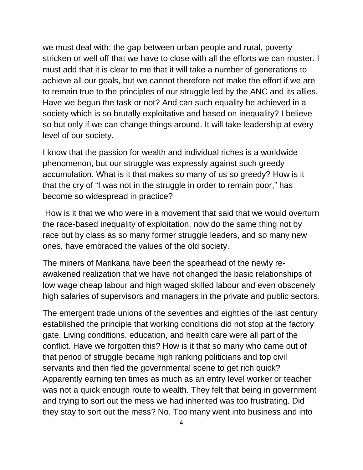we must deal with; the gap between urban people and rural, poverty stricken or well off that we have to close with all the efforts we can muster. I must add that it is clear to me that it will take a number of generations to achieve all our goals, but we cannot therefore not make the effort if we are to remain true to the principles of our struggle led by the ANC and its allies. Have we begun the task or not? And can such equality be achieved in a society which is so brutally exploitative and based on inequality? I believe so but only if we can change things around. It will take leadership at every level of our society.

I know that the passion for wealth and individual riches is a worldwide phenomenon, but our struggle was expressly against such greedy accumulation. What is it that makes so many of us so greedy? How is it that the cry of "I was not in the struggle in order to remain poor," has become so widespread in practice?

How is it that we who were in a movement that said that we would overturn the race-based inequality of exploitation, now do the same thing not by race but by class as so many former struggle leaders, and so many new ones, have embraced the values of the old society.

The miners of Marikana have been the spearhead of the newly reawakened realization that we have not changed the basic relationships of low wage cheap labour and high waged skilled labour and even obscenely high salaries of supervisors and managers in the private and public sectors.

The emergent trade unions of the seventies and eighties of the last century established the principle that working conditions did not stop at the factory gate. Living conditions, education, and health care were all part of the conflict. Have we forgotten this? How is it that so many who came out of that period of struggle became high ranking politicians and top civil servants and then fled the governmental scene to get rich quick? Apparently earning ten times as much as an entry level worker or teacher was not a quick enough route to wealth. They felt that being in government and trying to sort out the mess we had inherited was too frustrating. Did they stay to sort out the mess? No. Too many went into business and into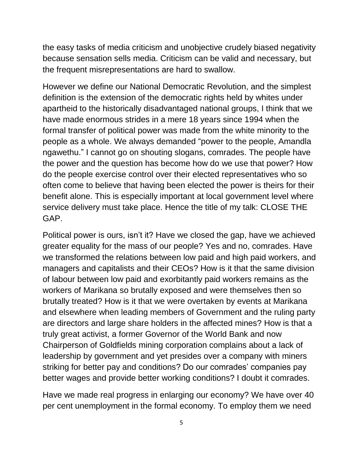the easy tasks of media criticism and unobjective crudely biased negativity because sensation sells media. Criticism can be valid and necessary, but the frequent misrepresentations are hard to swallow.

However we define our National Democratic Revolution, and the simplest definition is the extension of the democratic rights held by whites under apartheid to the historically disadvantaged national groups, I think that we have made enormous strides in a mere 18 years since 1994 when the formal transfer of political power was made from the white minority to the people as a whole. We always demanded "power to the people, Amandla ngawethu." I cannot go on shouting slogans, comrades. The people have the power and the question has become how do we use that power? How do the people exercise control over their elected representatives who so often come to believe that having been elected the power is theirs for their benefit alone. This is especially important at local government level where service delivery must take place. Hence the title of my talk: CLOSE THE GAP.

Political power is ours, isn't it? Have we closed the gap, have we achieved greater equality for the mass of our people? Yes and no, comrades. Have we transformed the relations between low paid and high paid workers, and managers and capitalists and their CEOs? How is it that the same division of labour between low paid and exorbitantly paid workers remains as the workers of Marikana so brutally exposed and were themselves then so brutally treated? How is it that we were overtaken by events at Marikana and elsewhere when leading members of Government and the ruling party are directors and large share holders in the affected mines? How is that a truly great activist, a former Governor of the World Bank and now Chairperson of Goldfields mining corporation complains about a lack of leadership by government and yet presides over a company with miners striking for better pay and conditions? Do our comrades' companies pay better wages and provide better working conditions? I doubt it comrades.

Have we made real progress in enlarging our economy? We have over 40 per cent unemployment in the formal economy. To employ them we need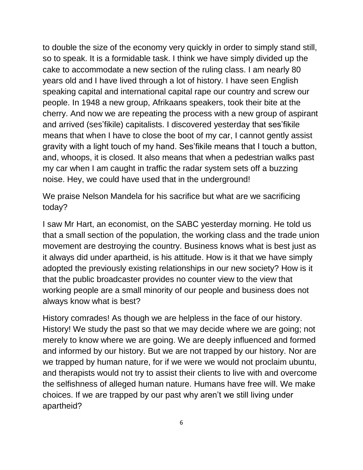to double the size of the economy very quickly in order to simply stand still, so to speak. It is a formidable task. I think we have simply divided up the cake to accommodate a new section of the ruling class. I am nearly 80 years old and I have lived through a lot of history. I have seen English speaking capital and international capital rape our country and screw our people. In 1948 a new group, Afrikaans speakers, took their bite at the cherry. And now we are repeating the process with a new group of aspirant and arrived (ses'fikile) capitalists. I discovered yesterday that ses'fikile means that when I have to close the boot of my car, I cannot gently assist gravity with a light touch of my hand. Ses'fikile means that I touch a button, and, whoops, it is closed. It also means that when a pedestrian walks past my car when I am caught in traffic the radar system sets off a buzzing noise. Hey, we could have used that in the underground!

We praise Nelson Mandela for his sacrifice but what are we sacrificing today?

I saw Mr Hart, an economist, on the SABC yesterday morning. He told us that a small section of the population, the working class and the trade union movement are destroying the country. Business knows what is best just as it always did under apartheid, is his attitude. How is it that we have simply adopted the previously existing relationships in our new society? How is it that the public broadcaster provides no counter view to the view that working people are a small minority of our people and business does not always know what is best?

History comrades! As though we are helpless in the face of our history. History! We study the past so that we may decide where we are going; not merely to know where we are going. We are deeply influenced and formed and informed by our history. But we are not trapped by our history. Nor are we trapped by human nature, for if we were we would not proclaim ubuntu, and therapists would not try to assist their clients to live with and overcome the selfishness of alleged human nature. Humans have free will. We make choices. If we are trapped by our past why aren't we still living under apartheid?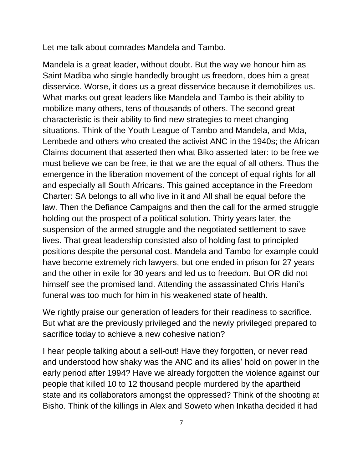Let me talk about comrades Mandela and Tambo.

Mandela is a great leader, without doubt. But the way we honour him as Saint Madiba who single handedly brought us freedom, does him a great disservice. Worse, it does us a great disservice because it demobilizes us. What marks out great leaders like Mandela and Tambo is their ability to mobilize many others, tens of thousands of others. The second great characteristic is their ability to find new strategies to meet changing situations. Think of the Youth League of Tambo and Mandela, and Mda, Lembede and others who created the activist ANC in the 1940s; the African Claims document that asserted then what Biko asserted later: to be free we must believe we can be free, ie that we are the equal of all others. Thus the emergence in the liberation movement of the concept of equal rights for all and especially all South Africans. This gained acceptance in the Freedom Charter: SA belongs to all who live in it and All shall be equal before the law. Then the Defiance Campaigns and then the call for the armed struggle holding out the prospect of a political solution. Thirty years later, the suspension of the armed struggle and the negotiated settlement to save lives. That great leadership consisted also of holding fast to principled positions despite the personal cost. Mandela and Tambo for example could have become extremely rich lawyers, but one ended in prison for 27 years and the other in exile for 30 years and led us to freedom. But OR did not himself see the promised land. Attending the assassinated Chris Hani's funeral was too much for him in his weakened state of health.

We rightly praise our generation of leaders for their readiness to sacrifice. But what are the previously privileged and the newly privileged prepared to sacrifice today to achieve a new cohesive nation?

I hear people talking about a sell-out! Have they forgotten, or never read and understood how shaky was the ANC and its allies' hold on power in the early period after 1994? Have we already forgotten the violence against our people that killed 10 to 12 thousand people murdered by the apartheid state and its collaborators amongst the oppressed? Think of the shooting at Bisho. Think of the killings in Alex and Soweto when Inkatha decided it had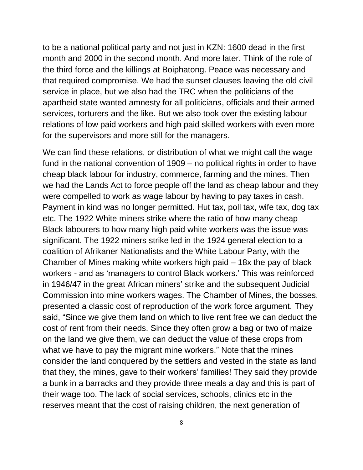to be a national political party and not just in KZN: 1600 dead in the first month and 2000 in the second month. And more later. Think of the role of the third force and the killings at Boiphatong. Peace was necessary and that required compromise. We had the sunset clauses leaving the old civil service in place, but we also had the TRC when the politicians of the apartheid state wanted amnesty for all politicians, officials and their armed services, torturers and the like. But we also took over the existing labour relations of low paid workers and high paid skilled workers with even more for the supervisors and more still for the managers.

We can find these relations, or distribution of what we might call the wage fund in the national convention of 1909 – no political rights in order to have cheap black labour for industry, commerce, farming and the mines. Then we had the Lands Act to force people off the land as cheap labour and they were compelled to work as wage labour by having to pay taxes in cash. Payment in kind was no longer permitted. Hut tax, poll tax, wife tax, dog tax etc. The 1922 White miners strike where the ratio of how many cheap Black labourers to how many high paid white workers was the issue was significant. The 1922 miners strike led in the 1924 general election to a coalition of Afrikaner Nationalists and the White Labour Party, with the Chamber of Mines making white workers high paid – 18x the pay of black workers - and as 'managers to control Black workers.' This was reinforced in 1946/47 in the great African miners' strike and the subsequent Judicial Commission into mine workers wages. The Chamber of Mines, the bosses, presented a classic cost of reproduction of the work force argument. They said, "Since we give them land on which to live rent free we can deduct the cost of rent from their needs. Since they often grow a bag or two of maize on the land we give them, we can deduct the value of these crops from what we have to pay the migrant mine workers." Note that the mines consider the land conquered by the settlers and vested in the state as land that they, the mines, gave to their workers' families! They said they provide a bunk in a barracks and they provide three meals a day and this is part of their wage too. The lack of social services, schools, clinics etc in the reserves meant that the cost of raising children, the next generation of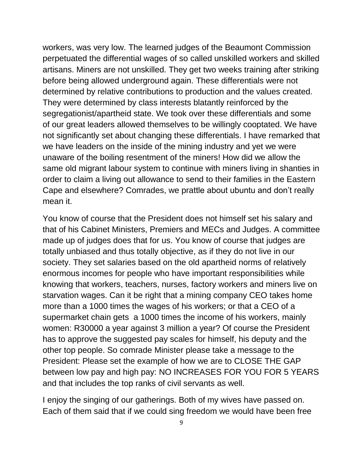workers, was very low. The learned judges of the Beaumont Commission perpetuated the differential wages of so called unskilled workers and skilled artisans. Miners are not unskilled. They get two weeks training after striking before being allowed underground again. These differentials were not determined by relative contributions to production and the values created. They were determined by class interests blatantly reinforced by the segregationist/apartheid state. We took over these differentials and some of our great leaders allowed themselves to be willingly cooptated. We have not significantly set about changing these differentials. I have remarked that we have leaders on the inside of the mining industry and yet we were unaware of the boiling resentment of the miners! How did we allow the same old migrant labour system to continue with miners living in shanties in order to claim a living out allowance to send to their families in the Eastern Cape and elsewhere? Comrades, we prattle about ubuntu and don't really mean it.

You know of course that the President does not himself set his salary and that of his Cabinet Ministers, Premiers and MECs and Judges. A committee made up of judges does that for us. You know of course that judges are totally unbiased and thus totally objective, as if they do not live in our society. They set salaries based on the old apartheid norms of relatively enormous incomes for people who have important responsibilities while knowing that workers, teachers, nurses, factory workers and miners live on starvation wages. Can it be right that a mining company CEO takes home more than a 1000 times the wages of his workers; or that a CEO of a supermarket chain gets a 1000 times the income of his workers, mainly women: R30000 a year against 3 million a year? Of course the President has to approve the suggested pay scales for himself, his deputy and the other top people. So comrade Minister please take a message to the President: Please set the example of how we are to CLOSE THE GAP between low pay and high pay: NO INCREASES FOR YOU FOR 5 YEARS and that includes the top ranks of civil servants as well.

I enjoy the singing of our gatherings. Both of my wives have passed on. Each of them said that if we could sing freedom we would have been free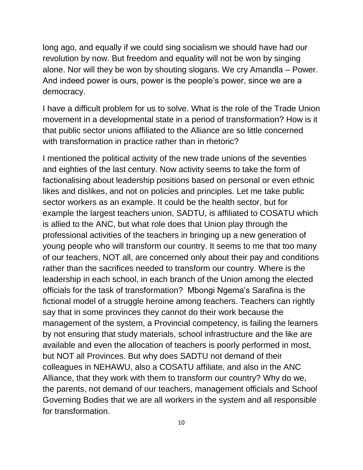long ago, and equally if we could sing socialism we should have had our revolution by now. But freedom and equality will not be won by singing alone. Nor will they be won by shouting slogans. We cry Amandla – Power. And indeed power is ours, power is the people's power, since we are a democracy.

I have a difficult problem for us to solve. What is the role of the Trade Union movement in a developmental state in a period of transformation? How is it that public sector unions affiliated to the Alliance are so little concerned with transformation in practice rather than in rhetoric?

I mentioned the political activity of the new trade unions of the seventies and eighties of the last century. Now activity seems to take the form of factionalising about leadership positions based on personal or even ethnic likes and dislikes, and not on policies and principles. Let me take public sector workers as an example. It could be the health sector, but for example the largest teachers union, SADTU, is affiliated to COSATU which is allied to the ANC, but what role does that Union play through the professional activities of the teachers in bringing up a new generation of young people who will transform our country. It seems to me that too many of our teachers, NOT all, are concerned only about their pay and conditions rather than the sacrifices needed to transform our country. Where is the leadership in each school, in each branch of the Union among the elected officials for the task of transformation? Mbongi Ngema's Sarafina is the fictional model of a struggle heroine among teachers. Teachers can rightly say that in some provinces they cannot do their work because the management of the system, a Provincial competency, is failing the learners by not ensuring that study materials, school infrastructure and the like are available and even the allocation of teachers is poorly performed in most, but NOT all Provinces. But why does SADTU not demand of their colleagues in NEHAWU, also a COSATU affiliate, and also in the ANC Alliance, that they work with them to transform our country? Why do we, the parents, not demand of our teachers, management officials and School Governing Bodies that we are all workers in the system and all responsible for transformation.